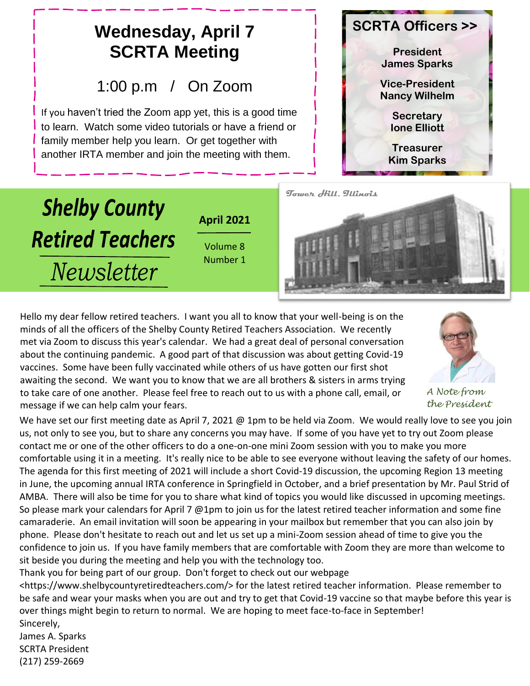#### **SCRTA Officers >> Wednesday, April 7 SCRTA Meeting President James Sparks** 1:00 p.m / On Zoom **Vice-President Nancy Wilhelm** If you haven't tried the Zoom app yet, this is a good time **Secretary** to learn. Watch some video tutorials or have a friend or **Ione Elliott** family member help you learn. Or get together with **Treasurer** another IRTA member and join the meeting with them. **Kim Sparks Tower Hill, Illinois Shelby County April 2021 Retired Teachers** Volume 8 Number 1 *Newsletter*

Hello my dear fellow retired teachers. I want you all to know that your well-being is on the minds of all the officers of the Shelby County Retired Teachers Association. We recently met via Zoom to discuss this year's calendar. We had a great deal of personal conversation about the continuing pandemic. A good part of that discussion was about getting Covid-19 vaccines. Some have been fully vaccinated while others of us have gotten our first shot awaiting the second. We want you to know that we are all brothers & sisters in arms trying to take care of one another. Please feel free to reach out to us with a phone call, email, or message if we can help calm your fears.

We have set our first meeting date as April 7, 2021 @ 1pm to be held via Zoom. We would really love to see you join us, not only to see you, but to share any concerns you may have. If some of you have yet to try out Zoom please contact me or one of the other officers to do a one-on-one mini Zoom session with you to make you more comfortable using it in a meeting. It's really nice to be able to see everyone without leaving the safety of our homes. The agenda for this first meeting of 2021 will include a short Covid-19 discussion, the upcoming Region 13 meeting in June, the upcoming annual IRTA conference in Springfield in October, and a brief presentation by Mr. Paul Strid of AMBA. There will also be time for you to share what kind of topics you would like discussed in upcoming meetings. So please mark your calendars for April 7 @1pm to join us for the latest retired teacher information and some fine camaraderie. An email invitation will soon be appearing in your mailbox but remember that you can also join by phone. Please don't hesitate to reach out and let us set up a mini-Zoom session ahead of time to give you the confidence to join us. If you have family members that are comfortable with Zoom they are more than welcome to sit beside you during the meeting and help you with the technology too.

*A Note from the President*

Thank you for being part of our group. Don't forget to check out our webpage

<https://www.shelbycountyretiredteachers.com/> for the latest retired teacher information. Please remember to be safe and wear your masks when you are out and try to get that Covid-19 vaccine so that maybe before this year is over things might begin to return to normal. We are hoping to meet face-to-face in September! Sincerely,

James A. Sparks SCRTA President (217) 259-2669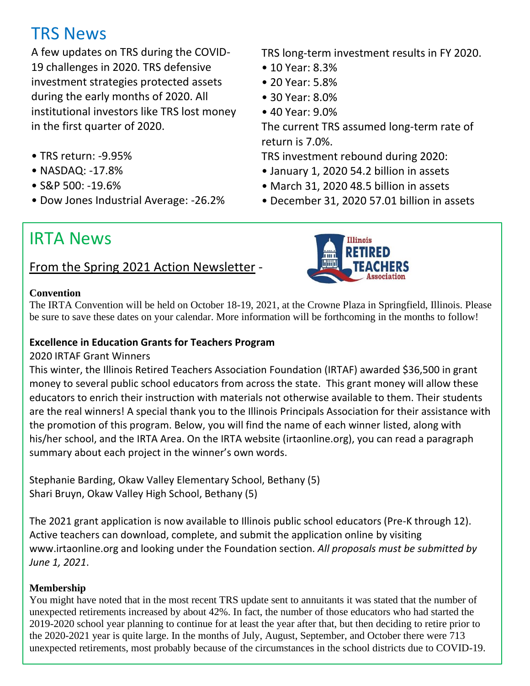# TRS News

A few updates on TRS during the COVID-19 challenges in 2020. TRS defensive investment strategies protected assets during the early months of 2020. All institutional investors like TRS lost money in the first quarter of 2020.

- TRS return: -9.95%
- NASDAQ: -17.8%
- S&P 500: -19.6%
- Dow Jones Industrial Average: -26.2%

TRS long-term investment results in FY 2020.

- 10 Year: 8.3%
- 20 Year: 5.8%
- 30 Year: 8.0%
- 40 Year: 9.0%

The current TRS assumed long-term rate of return is 7.0%.

TRS investment rebound during 2020:

- January 1, 2020 54.2 billion in assets
- March 31, 2020 48.5 billion in assets
- December 31, 2020 57.01 billion in assets

# IRTA News

### From the Spring 2021 Action Newsletter -



#### **Convention**

The IRTA Convention will be held on October 18-19, 2021, at the Crowne Plaza in Springfield, Illinois. Please be sure to save these dates on your calendar. More information will be forthcoming in the months to follow!

#### **Excellence in Education Grants for Teachers Program**

#### 2020 IRTAF Grant Winners

This winter, the Illinois Retired Teachers Association Foundation (IRTAF) awarded \$36,500 in grant money to several public school educators from across the state. This grant money will allow these educators to enrich their instruction with materials not otherwise available to them. Their students are the real winners! A special thank you to the Illinois Principals Association for their assistance with the promotion of this program. Below, you will find the name of each winner listed, along with his/her school, and the IRTA Area. On the IRTA website (irtaonline.org), you can read a paragraph summary about each project in the winner's own words.

Stephanie Barding, Okaw Valley Elementary School, Bethany (5) Shari Bruyn, Okaw Valley High School, Bethany (5)

The 2021 grant application is now available to Illinois public school educators (Pre-K through 12). Active teachers can download, complete, and submit the application online by visiting www.irtaonline.org and looking under the Foundation section. *All proposals must be submitted by June 1, 2021*.

#### **Membership**

You might have noted that in the most recent TRS update sent to annuitants it was stated that the number of unexpected retirements increased by about 42%. In fact, the number of those educators who had started the 2019-2020 school year planning to continue for at least the year after that, but then deciding to retire prior to the 2020-2021 year is quite large. In the months of July, August, September, and October there were 713 unexpected retirements, most probably because of the circumstances in the school districts due to COVID-19.